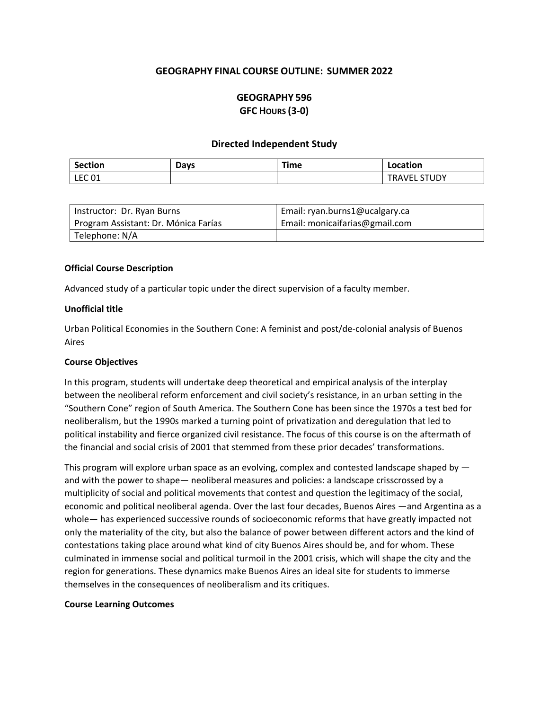# **GEOGRAPHY FINAL COURSE OUTLINE: SUMMER 2022**

# **GEOGRAPHY 596 GFC HOURS (3-0)**

#### **Directed Independent Study**

| <b>Section</b> | Days | ⊺ime | Location                                     |
|----------------|------|------|----------------------------------------------|
| <b>LEC 01</b>  |      |      | <b>STUDY</b><br>$\cdot$ .<br>V.<br>KA.<br>ᄂᄂ |

| Instructor: Dr. Ryan Burns           | Email: ryan.burns1@ucalgary.ca |
|--------------------------------------|--------------------------------|
| Program Assistant: Dr. Mónica Farías | Email: monicaifarias@gmail.com |
| Telephone: N/A                       |                                |

#### **Official Course Description**

Advanced study of a particular topic under the direct supervision of a faculty member.

#### **Unofficial title**

Urban Political Economies in the Southern Cone: A feminist and post/de-colonial analysis of Buenos Aires

#### **Course Objectives**

In this program, students will undertake deep theoretical and empirical analysis of the interplay between the neoliberal reform enforcement and civil society's resistance, in an urban setting in the "Southern Cone" region of South America. The Southern Cone has been since the 1970s a test bed for neoliberalism, but the 1990s marked a turning point of privatization and deregulation that led to political instability and fierce organized civil resistance. The focus of this course is on the aftermath of the financial and social crisis of 2001 that stemmed from these prior decades' transformations.

This program will explore urban space as an evolving, complex and contested landscape shaped by and with the power to shape— neoliberal measures and policies: a landscape crisscrossed by a multiplicity of social and political movements that contest and question the legitimacy of the social, economic and political neoliberal agenda. Over the last four decades, Buenos Aires —and Argentina as a whole— has experienced successive rounds of socioeconomic reforms that have greatly impacted not only the materiality of the city, but also the balance of power between different actors and the kind of contestations taking place around what kind of city Buenos Aires should be, and for whom. These culminated in immense social and political turmoil in the 2001 crisis, which will shape the city and the region for generations. These dynamics make Buenos Aires an ideal site for students to immerse themselves in the consequences of neoliberalism and its critiques.

#### **Course Learning Outcomes**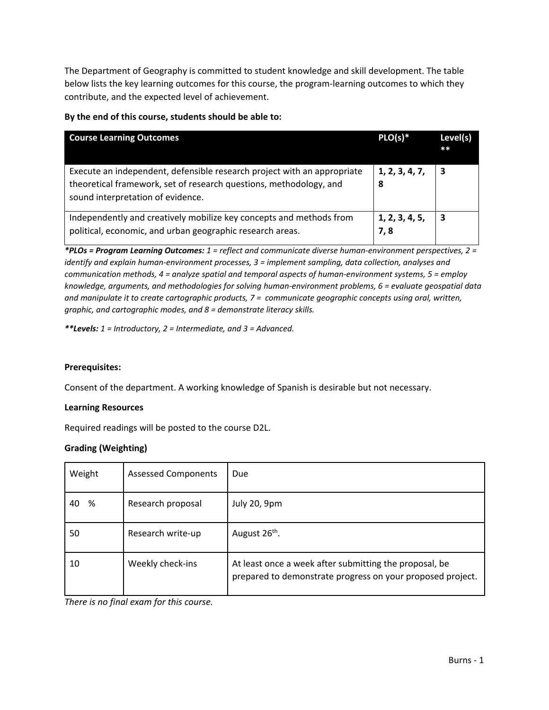The Department of Geography is committed to student knowledge and skill development. The table below lists the key learning outcomes for this course, the program-learning outcomes to which they contribute, and the expected level of achievement.

# **By the end of this course, students should be able to:**

| <b>Course Learning Outcomes</b>                                                                                                                                                    | $PLO(s)*$             | Level(s)<br>$**$ |
|------------------------------------------------------------------------------------------------------------------------------------------------------------------------------------|-----------------------|------------------|
| Execute an independent, defensible research project with an appropriate<br>theoretical framework, set of research questions, methodology, and<br>sound interpretation of evidence. | 1, 2, 3, 4, 7,<br>8   | 3                |
| Independently and creatively mobilize key concepts and methods from<br>political, economic, and urban geographic research areas.                                                   | 1, 2, 3, 4, 5,<br>7,8 | 3                |

*\*PLOs = Program Learning Outcomes: 1 = reflect and communicate diverse human-environment perspectives, 2 = identify and explain human-environment processes, 3 = implement sampling, data collection, analyses and communication methods, 4 = analyze spatial and temporal aspects of human-environment systems, 5 = employ knowledge, arguments, and methodologies for solving human-environment problems, 6 = evaluate geospatial data and manipulate it to create cartographic products, 7 = communicate geographic concepts using oral, written, graphic, and cartographic modes, and 8 = demonstrate literacy skills.*

*\*\*Levels: 1 = Introductory, 2 = Intermediate, and 3 = Advanced.*

### **Prerequisites:**

Consent of the department. A working knowledge of Spanish is desirable but not necessary.

#### **Learning Resources**

Required readings will be posted to the course D2L.

### **Grading (Weighting)**

| Weight  | <b>Assessed Components</b> | Due                                                                                                                  |
|---------|----------------------------|----------------------------------------------------------------------------------------------------------------------|
| %<br>40 | Research proposal          | <b>July 20, 9pm</b>                                                                                                  |
| 50      | Research write-up          | August 26 <sup>th</sup> .                                                                                            |
| 10      | Weekly check-ins           | At least once a week after submitting the proposal, be<br>prepared to demonstrate progress on your proposed project. |

*There is no final exam for this course.*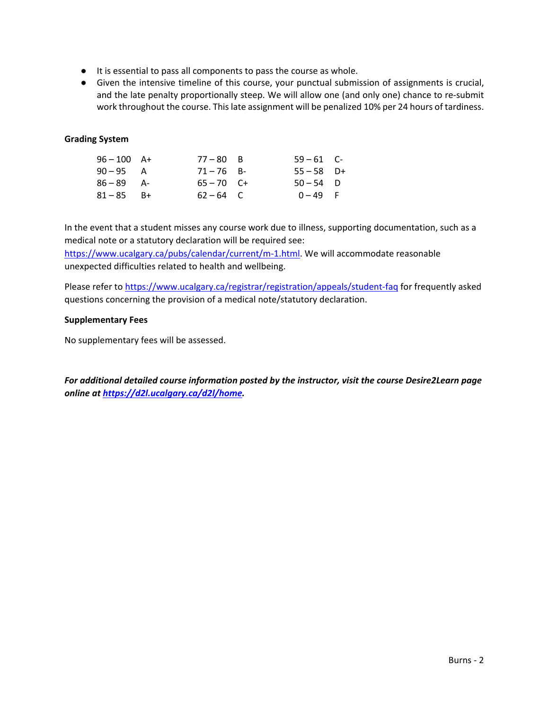- It is essential to pass all components to pass the course as whole.
- Given the intensive timeline of this course, your punctual submission of assignments is crucial, and the late penalty proportionally steep. We will allow one (and only one) chance to re-submit work throughout the course. This late assignment will be penalized 10% per 24 hours of tardiness.

# **Grading System**

| $96 - 100$ A+ | $77 - 80$ B  | $59 - 61$ C- |  |
|---------------|--------------|--------------|--|
| $90 - 95$ A   | $71 - 76$ B- | $55 - 58$ D+ |  |
| $86 - 89$ A-  | $65 - 70$ C+ | $50 - 54$ D  |  |
| $81 - 85$ B+  | $62 - 64$ C  | $0 - 49$ F   |  |

In the event that a student misses any course work due to illness, supporting documentation, such as a medical note or a statutory declaration will be required see:

[https://www.ucalgary.ca/pubs/calendar/current/m-1.html.](https://www.ucalgary.ca/pubs/calendar/current/m-1.html) We will accommodate reasonable unexpected difficulties related to health and wellbeing.

Please refer t[o https://www.ucalgary.ca/registrar/registration/appeals/student-faq](https://www.ucalgary.ca/registrar/registration/appeals/student-faq) for frequently asked questions concerning the provision of a medical note/statutory declaration.

### **Supplementary Fees**

No supplementary fees will be assessed.

*For additional detailed course information posted by the instructor, visit the course Desire2Learn page online at [https://d2l.ucalgary.ca/d2l/home.](https://d2l.ucalgary.ca/d2l/home)*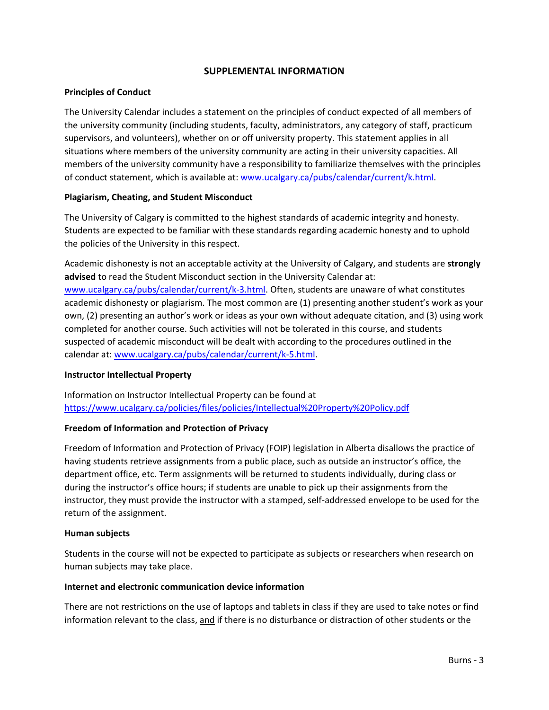# **SUPPLEMENTAL INFORMATION**

### **Principles of Conduct**

The University Calendar includes a statement on the principles of conduct expected of all members of the university community (including students, faculty, administrators, any category of staff, practicum supervisors, and volunteers), whether on or off university property. This statement applies in all situations where members of the university community are acting in their university capacities. All members of the university community have a responsibility to familiarize themselves with the principles of conduct statement, which is available at: [www.ucalgary.ca/pubs/calendar/current/k.html.](http://www.ucalgary.ca/pubs/calendar/current/k.html)

#### **Plagiarism, Cheating, and Student Misconduct**

The University of Calgary is committed to the highest standards of academic integrity and honesty. Students are expected to be familiar with these standards regarding academic honesty and to uphold the policies of the University in this respect.

Academic dishonesty is not an acceptable activity at the University of Calgary, and students are **strongly advised** to read the Student Misconduct section in the University Calendar at: [www.ucalgary.ca/pubs/calendar/current/k-3.html.](http://www.ucalgary.ca/pubs/calendar/current/k-3.html) Often, students are unaware of what constitutes academic dishonesty or plagiarism. The most common are (1) presenting another student's work as your own, (2) presenting an author's work or ideas as your own without adequate citation, and (3) using work completed for another course. Such activities will not be tolerated in this course, and students suspected of academic misconduct will be dealt with according to the procedures outlined in the calendar at: [www.ucalgary.ca/pubs/calendar/current/k-5.html.](http://www.ucalgary.ca/pubs/calendar/current/k-5.html)

#### **Instructor Intellectual Property**

Information on Instructor Intellectual Property can be found at <https://www.ucalgary.ca/policies/files/policies/Intellectual%20Property%20Policy.pdf>

### **Freedom of Information and Protection of Privacy**

Freedom of Information and Protection of Privacy (FOIP) legislation in Alberta disallows the practice of having students retrieve assignments from a public place, such as outside an instructor's office, the department office, etc. Term assignments will be returned to students individually, during class or during the instructor's office hours; if students are unable to pick up their assignments from the instructor, they must provide the instructor with a stamped, self-addressed envelope to be used for the return of the assignment.

#### **Human subjects**

Students in the course will not be expected to participate as subjects or researchers when research on human subjects may take place.

#### **Internet and electronic communication device information**

There are not restrictions on the use of laptops and tablets in class if they are used to take notes or find information relevant to the class, and if there is no disturbance or distraction of other students or the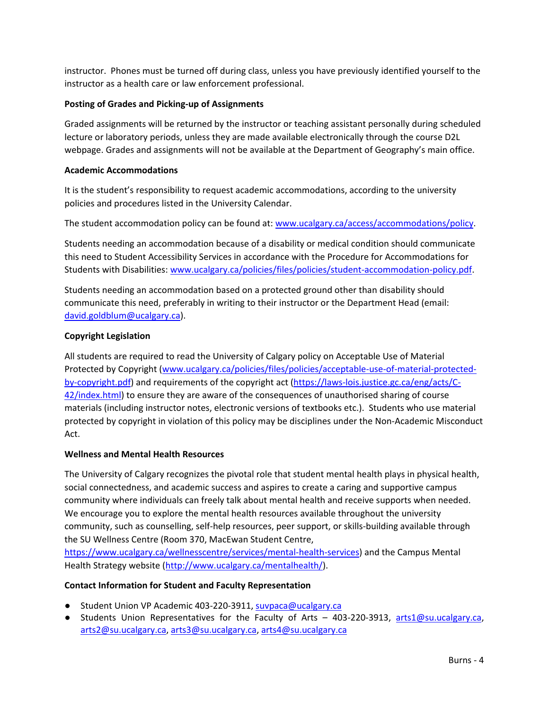instructor. Phones must be turned off during class, unless you have previously identified yourself to the instructor as a health care or law enforcement professional.

# **Posting of Grades and Picking-up of Assignments**

Graded assignments will be returned by the instructor or teaching assistant personally during scheduled lecture or laboratory periods, unless they are made available electronically through the course D2L webpage. Grades and assignments will not be available at the Department of Geography's main office.

### **Academic Accommodations**

It is the student's responsibility to request academic accommodations, according to the university policies and procedures listed in the University Calendar.

The student accommodation policy can be found at: [www.ucalgary.ca/access/accommodations/policy.](http://www.ucalgary.ca/access/accommodations/policy)

Students needing an accommodation because of a disability or medical condition should communicate this need to Student Accessibility Services in accordance with the Procedure for Accommodations for Students with Disabilities: [www.ucalgary.ca/policies/files/policies/student-accommodation-policy.pdf.](http://www.ucalgary.ca/policies/files/policies/student-accommodation-policy.pdf)

Students needing an accommodation based on a protected ground other than disability should communicate this need, preferably in writing to their instructor or the Department Head (email: [david.goldblum@ucalgary.ca\)](mailto:david.goldblum@ucalgary.ca).

# **Copyright Legislation**

All students are required to read the University of Calgary policy on Acceptable Use of Material Protected by Copyright [\(www.ucalgary.ca/policies/files/policies/acceptable-use-of-material-protected](http://www.ucalgary.ca/policies/files/policies/acceptable-use-of-material-protected-by-copyright.pdf)[by-copyright.pdf\)](http://www.ucalgary.ca/policies/files/policies/acceptable-use-of-material-protected-by-copyright.pdf) and requirements of the copyright act [\(https://laws-lois.justice.gc.ca/eng/acts/C-](https://laws-lois.justice.gc.ca/eng/acts/C-42/index.html)[42/index.html\)](https://laws-lois.justice.gc.ca/eng/acts/C-42/index.html) to ensure they are aware of the consequences of unauthorised sharing of course materials (including instructor notes, electronic versions of textbooks etc.). Students who use material protected by copyright in violation of this policy may be disciplines under the Non-Academic Misconduct Act.

### **Wellness and Mental Health Resources**

The University of Calgary recognizes the pivotal role that student mental health plays in physical health, social connectedness, and academic success and aspires to create a caring and supportive campus community where individuals can freely talk about mental health and receive supports when needed. We encourage you to explore the mental health resources available throughout the university community, such as counselling, self-help resources, peer support, or skills-building available through the SU Wellness Centre (Room 370, MacEwan Student Centre,

[https://www.ucalgary.ca/wellnesscentre/services/mental-health-services\)](https://www.ucalgary.ca/wellnesscentre/services/mental-health-services) and the Campus Mental Health Strategy website [\(http://www.ucalgary.ca/mentalhealth/\)](http://www.ucalgary.ca/mentalhealth/).

### **Contact Information for Student and Faculty Representation**

- Student Union VP Academic 403-220-3911, [suvpaca@ucalgary.ca](mailto:suvpaca@ucalgary.ca)
- Students Union Representatives for the Faculty of Arts 403-220-3913, [arts1@su.ucalgary.ca,](mailto:arts1@su.ucalgary.ca) [arts2@su.ucalgary.ca,](mailto:arts2@su.ucalgary.ca) [arts3@su.ucalgary.ca,](mailto:arts3@su.ucalgary.ca) [arts4@su.ucalgary.ca](mailto:arts4@su.ucalgary.ca)